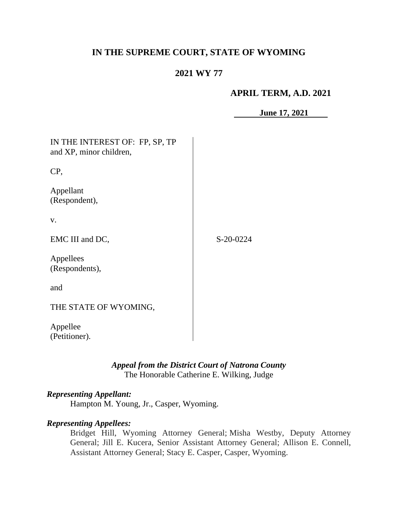# **IN THE SUPREME COURT, STATE OF WYOMING**

# **2021 WY 77**

#### **APRIL TERM, A.D. 2021**

**June 17, 2021**

| IN THE INTEREST OF: FP, SP, TP<br>and XP, minor children, |           |
|-----------------------------------------------------------|-----------|
| CP,                                                       |           |
| Appellant<br>(Respondent),                                |           |
| V.                                                        |           |
| EMC III and DC,                                           | S-20-0224 |
| Appellees<br>(Respondents),                               |           |
| and                                                       |           |
| THE STATE OF WYOMING,                                     |           |
| Appellee<br>(Petitioner).                                 |           |

## *Appeal from the District Court of Natrona County* The Honorable Catherine E. Wilking, Judge

## *Representing Appellant:*

Hampton M. Young, Jr., Casper, Wyoming.

## *Representing Appellees:*

Bridget Hill, Wyoming Attorney General; Misha Westby, Deputy Attorney General; Jill E. Kucera, Senior Assistant Attorney General; Allison E. Connell, Assistant Attorney General; Stacy E. Casper, Casper, Wyoming.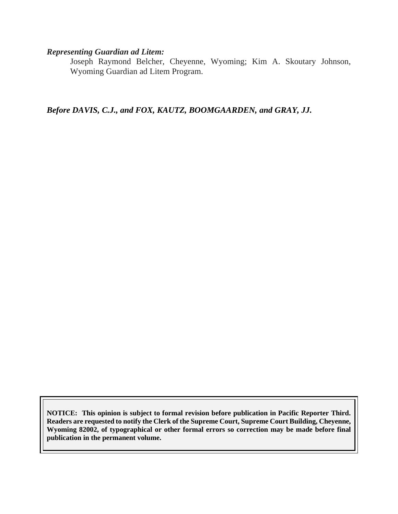#### *Representing Guardian ad Litem:*

Joseph Raymond Belcher, Cheyenne, Wyoming; Kim A. Skoutary Johnson, Wyoming Guardian ad Litem Program.

*Before DAVIS, C.J., and FOX, KAUTZ, BOOMGAARDEN, and GRAY, JJ.*

**NOTICE: This opinion is subject to formal revision before publication in Pacific Reporter Third. Readers are requested to notify the Clerk of the Supreme Court, Supreme Court Building, Cheyenne, Wyoming 82002, of typographical or other formal errors so correction may be made before final publication in the permanent volume.**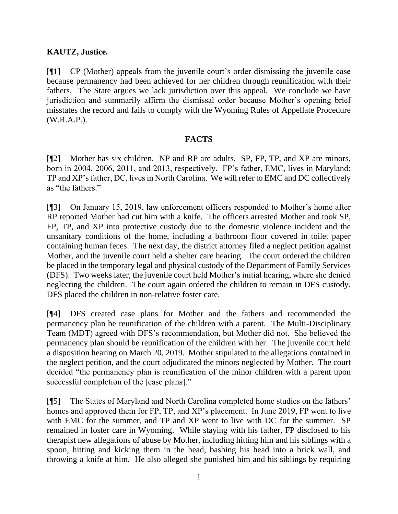## **KAUTZ, Justice.**

[¶1] CP (Mother) appeals from the juvenile court's order dismissing the juvenile case because permanency had been achieved for her children through reunification with their fathers. The State argues we lack jurisdiction over this appeal. We conclude we have jurisdiction and summarily affirm the dismissal order because Mother's opening brief misstates the record and fails to comply with the Wyoming Rules of Appellate Procedure (W.R.A.P.).

### **FACTS**

[¶2] Mother has six children. NP and RP are adults. SP, FP, TP, and XP are minors, born in 2004, 2006, 2011, and 2013, respectively. FP's father, EMC, lives in Maryland; TP and XP's father, DC, lives in North Carolina. We will refer to EMC and DC collectively as "the fathers."

[¶3] On January 15, 2019, law enforcement officers responded to Mother's home after RP reported Mother had cut him with a knife. The officers arrested Mother and took SP, FP, TP, and XP into protective custody due to the domestic violence incident and the unsanitary conditions of the home, including a bathroom floor covered in toilet paper containing human feces. The next day, the district attorney filed a neglect petition against Mother, and the juvenile court held a shelter care hearing. The court ordered the children be placed in the temporary legal and physical custody of the Department of Family Services (DFS). Two weeks later, the juvenile court held Mother's initial hearing, where she denied neglecting the children. The court again ordered the children to remain in DFS custody. DFS placed the children in non-relative foster care.

[¶4] DFS created case plans for Mother and the fathers and recommended the permanency plan be reunification of the children with a parent. The Multi-Disciplinary Team (MDT) agreed with DFS's recommendation, but Mother did not. She believed the permanency plan should be reunification of the children with her. The juvenile court held a disposition hearing on March 20, 2019. Mother stipulated to the allegations contained in the neglect petition, and the court adjudicated the minors neglected by Mother. The court decided "the permanency plan is reunification of the minor children with a parent upon successful completion of the [case plans]."

[¶5] The States of Maryland and North Carolina completed home studies on the fathers' homes and approved them for FP, TP, and XP's placement. In June 2019, FP went to live with EMC for the summer, and TP and XP went to live with DC for the summer. SP remained in foster care in Wyoming. While staying with his father, FP disclosed to his therapist new allegations of abuse by Mother, including hitting him and his siblings with a spoon, hitting and kicking them in the head, bashing his head into a brick wall, and throwing a knife at him. He also alleged she punished him and his siblings by requiring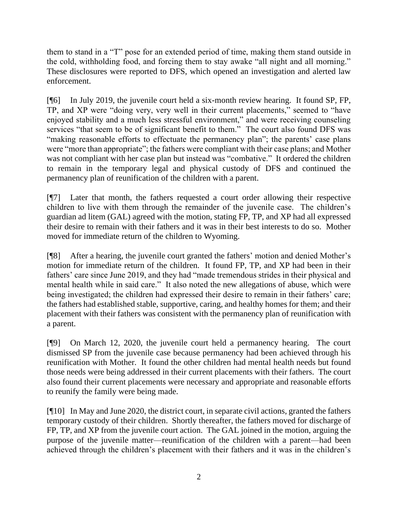them to stand in a "T" pose for an extended period of time, making them stand outside in the cold, withholding food, and forcing them to stay awake "all night and all morning." These disclosures were reported to DFS, which opened an investigation and alerted law enforcement.

[¶6] In July 2019, the juvenile court held a six-month review hearing. It found SP, FP, TP, and XP were "doing very, very well in their current placements," seemed to "have enjoyed stability and a much less stressful environment," and were receiving counseling services "that seem to be of significant benefit to them." The court also found DFS was "making reasonable efforts to effectuate the permanency plan"; the parents' case plans were "more than appropriate"; the fathers were compliant with their case plans; and Mother was not compliant with her case plan but instead was "combative." It ordered the children to remain in the temporary legal and physical custody of DFS and continued the permanency plan of reunification of the children with a parent.

[¶7] Later that month, the fathers requested a court order allowing their respective children to live with them through the remainder of the juvenile case. The children's guardian ad litem (GAL) agreed with the motion, stating FP, TP, and XP had all expressed their desire to remain with their fathers and it was in their best interests to do so. Mother moved for immediate return of the children to Wyoming.

[¶8] After a hearing, the juvenile court granted the fathers' motion and denied Mother's motion for immediate return of the children. It found FP, TP, and XP had been in their fathers' care since June 2019, and they had "made tremendous strides in their physical and mental health while in said care." It also noted the new allegations of abuse, which were being investigated; the children had expressed their desire to remain in their fathers' care; the fathers had established stable, supportive, caring, and healthy homes for them; and their placement with their fathers was consistent with the permanency plan of reunification with a parent.

[¶9] On March 12, 2020, the juvenile court held a permanency hearing. The court dismissed SP from the juvenile case because permanency had been achieved through his reunification with Mother. It found the other children had mental health needs but found those needs were being addressed in their current placements with their fathers. The court also found their current placements were necessary and appropriate and reasonable efforts to reunify the family were being made.

[¶10] In May and June 2020, the district court, in separate civil actions, granted the fathers temporary custody of their children. Shortly thereafter, the fathers moved for discharge of FP, TP, and XP from the juvenile court action. The GAL joined in the motion, arguing the purpose of the juvenile matter—reunification of the children with a parent—had been achieved through the children's placement with their fathers and it was in the children's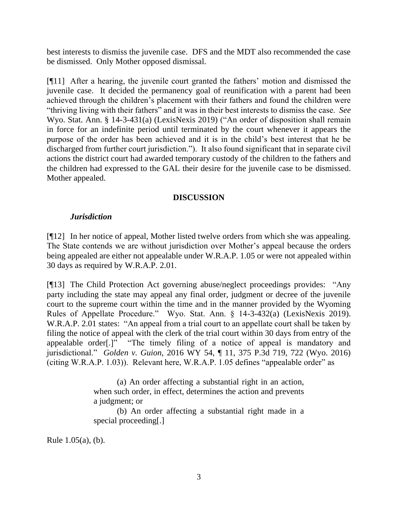best interests to dismiss the juvenile case. DFS and the MDT also recommended the case be dismissed. Only Mother opposed dismissal.

[¶11] After a hearing, the juvenile court granted the fathers' motion and dismissed the juvenile case. It decided the permanency goal of reunification with a parent had been achieved through the children's placement with their fathers and found the children were "thriving living with their fathers" and it was in their best interests to dismiss the case. *See*  Wyo. Stat. Ann. § 14-3-431(a) (LexisNexis 2019) ("An order of disposition shall remain in force for an indefinite period until terminated by the court whenever it appears the purpose of the order has been achieved and it is in the child's best interest that he be discharged from further court jurisdiction."). It also found significant that in separate civil actions the district court had awarded temporary custody of the children to the fathers and the children had expressed to the GAL their desire for the juvenile case to be dismissed. Mother appealed.

#### **DISCUSSION**

### *Jurisdiction*

[¶12] In her notice of appeal, Mother listed twelve orders from which she was appealing. The State contends we are without jurisdiction over Mother's appeal because the orders being appealed are either not appealable under W.R.A.P. 1.05 or were not appealed within 30 days as required by W.R.A.P. 2.01.

[¶13] The Child Protection Act governing abuse/neglect proceedings provides: "Any party including the state may appeal any final order, judgment or decree of the juvenile court to the supreme court within the time and in the manner provided by the Wyoming Rules of Appellate Procedure." Wyo. Stat. Ann. § 14-3-432(a) (LexisNexis 2019). W.R.A.P. 2.01 states: "An appeal from a trial court to an appellate court shall be taken by filing the notice of appeal with the clerk of the trial court within 30 days from entry of the appealable order[.]" "The timely filing of a notice of appeal is mandatory and jurisdictional." *Golden v. Guion*, 2016 WY 54, ¶ 11, 375 P.3d 719, 722 (Wyo. 2016) (citing W.R.A.P. 1.03)). Relevant here, W.R.A.P. 1.05 defines "appealable order" as

> (a) An order affecting a substantial right in an action, when such order, in effect, determines the action and prevents a judgment; or

> (b) An order affecting a substantial right made in a special proceeding[.]

Rule 1.05(a), (b).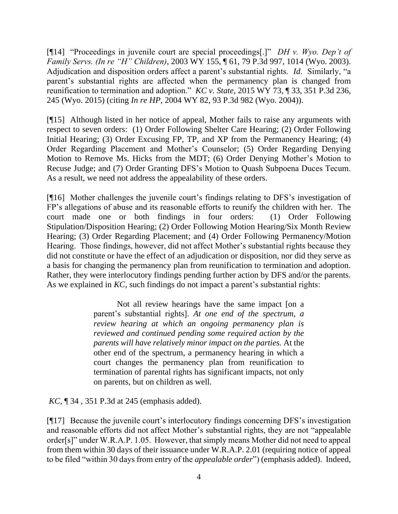[¶14] "Proceedings in juvenile court are special proceedings[.]" *DH v. Wyo. Dep't of Family Servs. (In re "H" Children)*, 2003 WY 155, ¶ 61, 79 P.3d 997, 1014 (Wyo. 2003). Adjudication and disposition orders affect a parent's substantial rights. *Id*. Similarly, "a parent's substantial rights are affected when the permanency plan is changed from reunification to termination and adoption." *KC v. State*, 2015 WY 73, ¶ 33, 351 P.3d 236, 245 (Wyo. 2015) (citing *In re HP*, 2004 WY 82, 93 P.3d 982 (Wyo. 2004)).

[¶15] Although listed in her notice of appeal, Mother fails to raise any arguments with respect to seven orders: (1) Order Following Shelter Care Hearing; (2) Order Following Initial Hearing; (3) Order Excusing FP, TP, and XP from the Permanency Hearing; (4) Order Regarding Placement and Mother's Counselor; (5) Order Regarding Denying Motion to Remove Ms. Hicks from the MDT; (6) Order Denying Mother's Motion to Recuse Judge; and (7) Order Granting DFS's Motion to Quash Subpoena Duces Tecum. As a result, we need not address the appealability of these orders.

[¶16] Mother challenges the juvenile court's findings relating to DFS's investigation of FP's allegations of abuse and its reasonable efforts to reunify the children with her. The court made one or both findings in four orders: (1) Order Following Stipulation/Disposition Hearing; (2) Order Following Motion Hearing/Six Month Review Hearing; (3) Order Regarding Placement; and (4) Order Following Permanency/Motion Hearing. Those findings, however, did not affect Mother's substantial rights because they did not constitute or have the effect of an adjudication or disposition, nor did they serve as a basis for changing the permanency plan from reunification to termination and adoption. Rather, they were interlocutory findings pending further action by DFS and/or the parents. As we explained in *KC*, such findings do not impact a parent's substantial rights:

> Not all review hearings have the same impact [on a parent's substantial rights]. *At one end of the spectrum, a review hearing at which an ongoing permanency plan is reviewed and continued pending some required action by the parents will have relatively minor impact on the parties.* At the other end of the spectrum, a permanency hearing in which a court changes the permanency plan from reunification to termination of parental rights has significant impacts, not only on parents, but on children as well.

*KC*, ¶ 34 , 351 P.3d at 245 (emphasis added).

[¶17] Because the juvenile court's interlocutory findings concerning DFS's investigation and reasonable efforts did not affect Mother's substantial rights, they are not "appealable order[s]" under W.R.A.P. 1.05. However, that simply means Mother did not need to appeal from them within 30 days of their issuance under W.R.A.P. 2.01 (requiring notice of appeal to be filed "within 30 days from entry of the *appealable order*") (emphasis added). Indeed,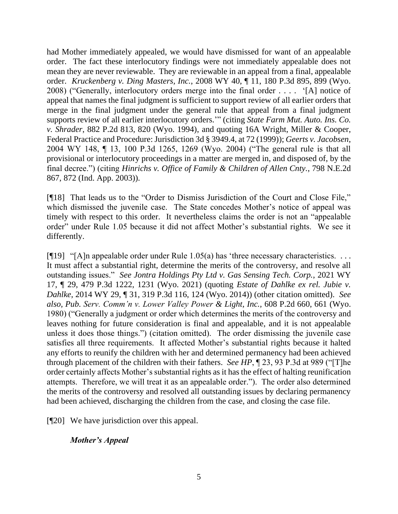had Mother immediately appealed, we would have dismissed for want of an appealable order. The fact these interlocutory findings were not immediately appealable does not mean they are never reviewable. They are reviewable in an appeal from a final, appealable order. *Kruckenberg v. Ding Masters, Inc.*, 2008 WY 40, ¶ 11, 180 P.3d 895, 899 (Wyo. 2008) ("Generally, interlocutory orders merge into the final order . . . . '[A] notice of appeal that names the final judgment is sufficient to support review of all earlier orders that merge in the final judgment under the general rule that appeal from a final judgment supports review of all earlier interlocutory orders.'" (citing *State Farm Mut. Auto. Ins. Co. v. Shrader*, 882 P.2d 813, 820 (Wyo. 1994), and quoting 16A Wright, Miller & Cooper, Federal Practice and Procedure: Jurisdiction 3d § 3949.4, at 72 (1999)); *Geerts v. Jacobsen*, 2004 WY 148, ¶ 13, 100 P.3d 1265, 1269 (Wyo. 2004) ("The general rule is that all provisional or interlocutory proceedings in a matter are merged in, and disposed of, by the final decree.") (citing *Hinrichs v. Office of Family & Children of Allen Cnty.*, 798 N.E.2d 867, 872 (Ind. App. 2003)).

[¶18] That leads us to the "Order to Dismiss Jurisdiction of the Court and Close File," which dismissed the juvenile case. The State concedes Mother's notice of appeal was timely with respect to this order. It nevertheless claims the order is not an "appealable order" under Rule 1.05 because it did not affect Mother's substantial rights. We see it differently.

[ $[$ [19] "[A]n appealable order under Rule 1.05(a) has 'three necessary characteristics. ... It must affect a substantial right, determine the merits of the controversy, and resolve all outstanding issues." *See Jontra Holdings Pty Ltd v. Gas Sensing Tech. Corp.*, 2021 WY 17, ¶ 29, 479 P.3d 1222, 1231 (Wyo. 2021) (quoting *Estate of Dahlke ex rel. Jubie v. Dahlke*, 2014 WY 29, ¶ 31, 319 P.3d 116, 124 (Wyo. 2014)) (other citation omitted). *See also, Pub. Serv. Comm'n v. Lower Valley Power & Light, Inc.,* 608 P.2d 660, 661 (Wyo. 1980) ("Generally a judgment or order which determines the merits of the controversy and leaves nothing for future consideration is final and appealable, and it is not appealable unless it does those things.") (citation omitted). The order dismissing the juvenile case satisfies all three requirements. It affected Mother's substantial rights because it halted any efforts to reunify the children with her and determined permanency had been achieved through placement of the children with their fathers. *See HP*, ¶ 23, 93 P.3d at 989 ("[T]he order certainly affects Mother's substantial rights as it has the effect of halting reunification attempts. Therefore, we will treat it as an appealable order."). The order also determined the merits of the controversy and resolved all outstanding issues by declaring permanency had been achieved, discharging the children from the case, and closing the case file.

[¶20] We have jurisdiction over this appeal.

## *Mother's Appeal*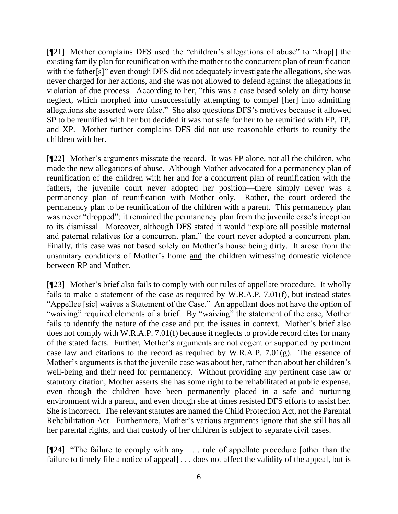[¶21] Mother complains DFS used the "children's allegations of abuse" to "drop[] the existing family plan for reunification with the mother to the concurrent plan of reunification with the father[s]" even though DFS did not adequately investigate the allegations, she was never charged for her actions, and she was not allowed to defend against the allegations in violation of due process. According to her, "this was a case based solely on dirty house neglect, which morphed into unsuccessfully attempting to compel [her] into admitting allegations she asserted were false." She also questions DFS's motives because it allowed SP to be reunified with her but decided it was not safe for her to be reunified with FP, TP, and XP. Mother further complains DFS did not use reasonable efforts to reunify the children with her.

[¶22] Mother's arguments misstate the record. It was FP alone, not all the children, who made the new allegations of abuse. Although Mother advocated for a permanency plan of reunification of the children with her and for a concurrent plan of reunification with the fathers, the juvenile court never adopted her position—there simply never was a permanency plan of reunification with Mother only. Rather, the court ordered the permanency plan to be reunification of the children with a parent. This permanency plan was never "dropped"; it remained the permanency plan from the juvenile case's inception to its dismissal. Moreover, although DFS stated it would "explore all possible maternal and paternal relatives for a concurrent plan," the court never adopted a concurrent plan. Finally, this case was not based solely on Mother's house being dirty. It arose from the unsanitary conditions of Mother's home and the children witnessing domestic violence between RP and Mother.

[¶23] Mother's brief also fails to comply with our rules of appellate procedure. It wholly fails to make a statement of the case as required by W.R.A.P. 7.01(f), but instead states "Appellee [sic] waives a Statement of the Case." An appellant does not have the option of "waiving" required elements of a brief. By "waiving" the statement of the case, Mother fails to identify the nature of the case and put the issues in context. Mother's brief also does not comply with W.R.A.P. 7.01(f) because it neglects to provide record cites for many of the stated facts. Further, Mother's arguments are not cogent or supported by pertinent case law and citations to the record as required by W.R.A.P. 7.01(g). The essence of Mother's arguments is that the juvenile case was about her, rather than about her children's well-being and their need for permanency. Without providing any pertinent case law or statutory citation, Mother asserts she has some right to be rehabilitated at public expense, even though the children have been permanently placed in a safe and nurturing environment with a parent, and even though she at times resisted DFS efforts to assist her. She is incorrect. The relevant statutes are named the Child Protection Act, not the Parental Rehabilitation Act. Furthermore, Mother's various arguments ignore that she still has all her parental rights, and that custody of her children is subject to separate civil cases.

[¶24] "The failure to comply with any . . . rule of appellate procedure [other than the failure to timely file a notice of appeal] . . . does not affect the validity of the appeal, but is